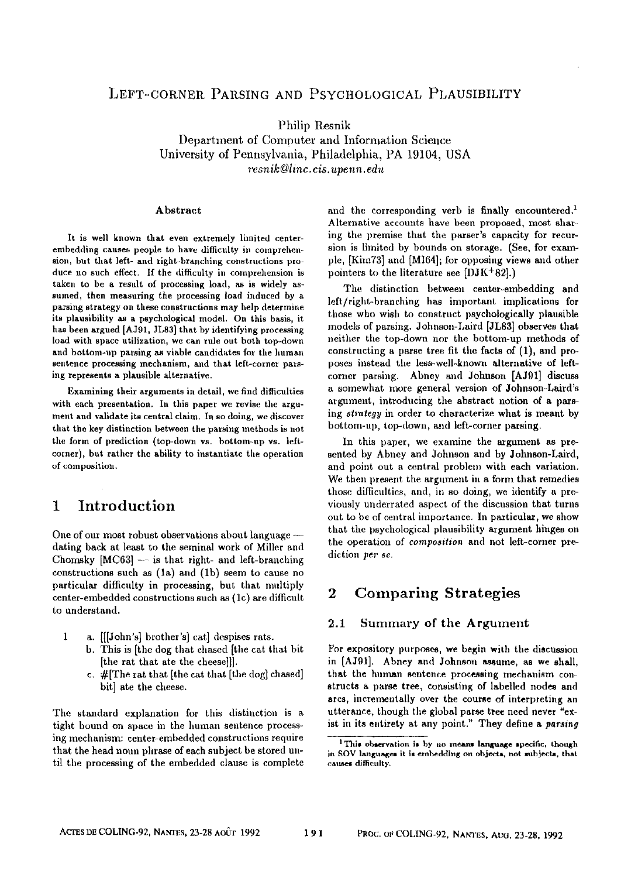# LEFT-CORNER PARSING AND PSYCHOLOGICAL PLAUSIBILITY

Philip Resnik Department of Computer and Information Science University of Pennsylvania, Philadelphia, PA 19104, USA *resnik©linc.cis.upenn.edu* 

#### Abstract

It is well known that even extremely limited centerembedding causes people to have difficulty in comprehension, but that left- and right-branching constractions produce no such effect. If the difficulty in comprehension is taken to be a result of processing load, as is widely assumed, then measuring the processing load induced by a parsing strategy on these constructions may help determine its plausibility as a psychological model. On this basis, it has been argued [AJ91, JL83] that by identifying processing load with space utilization, we can rule out both top-down and bottom-up parsing as viable candidates for the human sentence processing mechanism, and that left-corner parsing represents a plausible alternative.

Examining their arguments in detail, we find difficulties with each presentation. In this paper we revise the argument and validate its central claim. In so doing, we discover that the key distinction between the parsing methods is not the form of prediction (top-down vs. bottom-up vs. leftcorner), but rather the ability to instantiate the operation of composition.

# **1 Introduction**

One of our most robust observations about language -dating back at least to the seminal work of Miller and Chomsky [MC63] -- is that right- and left-branching constructions such as  $(1a)$  and  $(1b)$  seem to cause no particular difficulty in processing, but that multiply center-embedded constructions such as (lc) are difficult to understand.

- $\mathbf{1}$ a. [[[John's] brother's] eat] despises rats.
	- b. This is [the dog that chased [the cat that bit [the rat that ate tbe cheese]]].
	- c.  $#$ [The rat that [the cat that [the dog] chased] bit] ate the cheese.

The standard explanation for this distinction is a tight bound on space in the human sentence processing mechanism: center-embedded constructions require that the head noun phrase of each subject be stored until the processing of the embedded clause is complete and the corresponding verb is finally encountered.<sup>1</sup> Alternative accounts have been proposed, most sharing the premise that the parser's capacity for recursion is limited by bounds on storage. (See, for exampie, [Kim73] and [MI64]; for opposing views and other pointers to the literature see [DJK+82].)

The distinction between center-embedding and left/right-branching has important implications for those who wish to construct psychologically plausible models of parsing. Johnson-Laird [JL83] observes that neither the top-down nor the bottom-up methods of constructing a parse tree fit the facts of  $(1)$ , and proposes instead the less-well-known alternative of leftcorner parsing. Abney mid Johnson [AJgl] discuss a somewhat more general version of Johnson-Laird's argument, introducing the abstract notion of a parsing *strategy* in order to characterize what is meant by bottom-up, top-down, and left-corner parsing.

In this paper, we examine the argument as presented by Abney and Johnson and by Johnson-Laird, and point out a central problem with each variation. We then present the argument in a form that remedies those difficulties, and, in so doing, we identify a previously underrated aspect of the discussion that turns out to be of central importance. In particular, we show that the psychological plausibility argument hinges on the operation of *composition* and not left-corner prediction per *se.* 

# **2 Comparing Strategies**

### 2.1 Summary of the Argument

For expository purposes, we begin with the discussion in [AJ91]. Abney and Johnson sesame, as we shall, that the human sentence processing mechanism construets a parse tree, consisting of labelled nodes and arcs, incrementally over the course of interpreting an utterance, though the global parse tree need never "exist in its entirety at any point." They define a *parsing* 

<sup>&</sup>lt;sup>1</sup>This observation is by no means language specific, though in SOV languages it is embedding on objects, not subjects, that causes difficulty.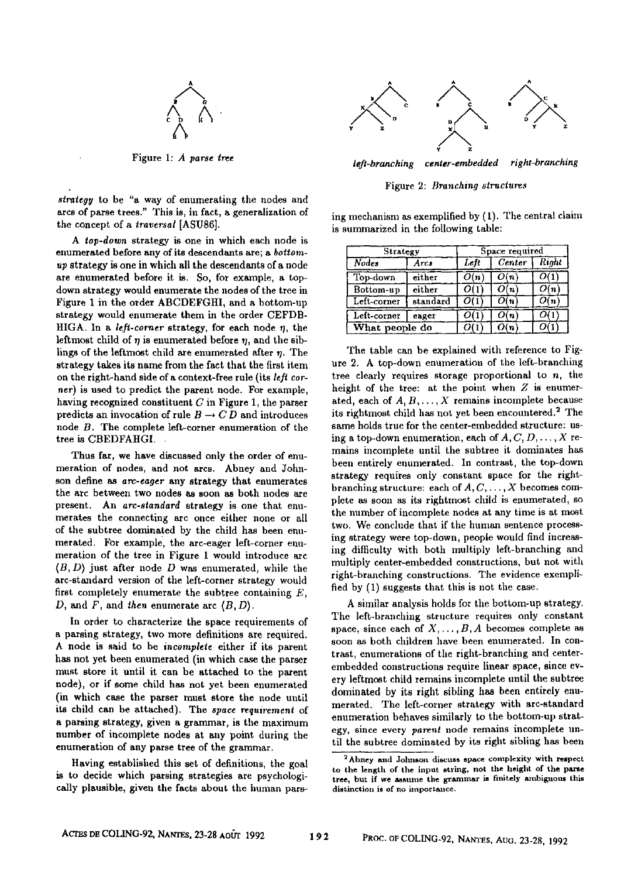

Figure *1: A parse tree* 

*strategy* to be "a way of enumerating the nodes and arcs of parse trees." This is, in fact, a generalization of the concept of a *traversal* [ASU86].

*A top-down* strategy is one in which each node is enumerated before any of its descendants are; a *bottomup* strategy is one in which all the descendants of a node are enumerated before it is. So, for example, a topdown strategy would enumerate the nodes of the tree in Figure 1 in the order ABCDEFGHI, and a bottom-up strategy would enumerate them in the order CEFDB-HIGA. In a *left-corner* strategy, for each node  $\eta$ , the leftmost child of  $\eta$  is enumerated before  $\eta$ , and the siblings of the leftmost child are enumerated after  $n$ . The strategy takes its name from the fact that the first item on the right-hand side of a context-free rule (its *left corner)* is used to predict the parent node. For example, having recognized constituent  $C$  in Figure 1, the parser predicts an invocation of rule  $B \to CD$  and introduces node B. The complete left-corner enumeration of the tree is CBEDFAHGI.

Thus far, we have discussed only the order of enumeration of nodes, and not ares. Abney and Johnson define as *arc-eager* any strategy that enumerates the arc between two nodes as soon as both nodes are present. An *are-standard* strategy is one that enumerates the connecting arc once either none or all of the subtree dominated by the child has been enumerated. For example, the arc-eager left-corner enumeration of the tree in Figure 1 would introduce arc  $(B, D)$  just after node D was enumerated, while the arc-standard version of the left-corner strategy would first completely enumerate the subtree containing  $E$ , D, and F, and *then* enumerate arc (B, D).

In order to characterize the space requirements of a parsing strategy, two more definitions are required. A node is said to be *incomplete* either if its parent has not yet been enumerated (in which case the parser must store it until it can be attached to the parent node), or if some child has not yet been enumerated (in which case the parser must store the node until its child can be attached). The *space requirement* of a parsing strategy, given a grammar, is the maximum number of incomplete nodes at any point during tbe enumeration of any parse tree of the grammar.

Having established this set of definitions, the goal is to decide which parsing strategies are psychologically plausible, given the facts about the human pars-



*left-branching center-embedded right-branching* 

Figure 2: *Branching structures* 

ing mechanism as exemplified by (1). The central claim is summarized in the following table:

| Strategy       |          | Space required |        |              |
|----------------|----------|----------------|--------|--------------|
| Nodes          | Arcs     | Left           | Center | <b>Right</b> |
| Top-down       | either   | O(n)           | O(n)   |              |
| Bottom-up      | either   |                | O(n)   | O(n)         |
| Left-corner    | standard |                | ()í n  | O(n          |
| Left-corner    | eager    |                | O(n)   |              |
| What people do |          |                | O(n)   |              |

The table can be explained with reference to Figure 2. A top-down enumeration of the left-branching tree clearly requires storage proportional to  $n$ , the height of the tree: at the point when Z is enumerated, each of  $A, B, \ldots, X$  remains incomplete because its rightmost child has not yet been encountered.<sup>2</sup> The same holds true for the center-embedded structure: using a top-down enumeration, each of  $A, C, D, \ldots, X$  remains incomplete until the subtree it dominates has been entirely enumerated. In contrast, the top-down strategy requires only constant space for the rightbranching structure: each of  $A, C, \ldots, X$  becomes complete as soon as its rightmost child is enumerated, so the number of incomplete nodes at any time is at most two. We conclude that if the human sentence processing strategy were top-down, people would find increasing difficulty with both multiply left-branching and multiply center-embedded constructions, but not with right-branching constructions. The evidence exemplified by (1) suggests that this is not the case.

A similar analysis holds for the bottom-up strategy. The left-branching structure requires only constant space, since each of  $X, \ldots, B, A$  becomes complete as soon as both children have been enumerated. In contrast, enumerations of the right-branching and centerembedded constructions require linear space, since every leftmest child remains incomplete until the subtree dominated by its right sibling has been entirely enumerated. The left-corner strategy with arc-standard enumeration behaves similarly to the bottom-up strategy, since every *parent* node remains incomplete until the subtree dominated by its right sibling has been

<sup>&</sup>lt;sup>2</sup>Abney and Johnson discuss space complexity with respect to the length of the input string, not the height of the parse tree, but if we assume the grammar is finitely ambiguous this distinction is of no importance.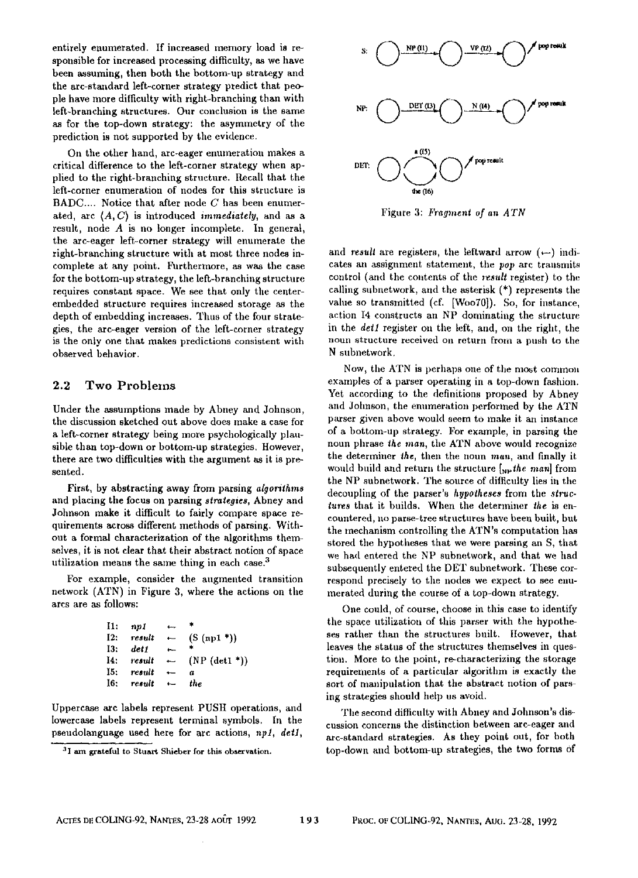entirely enumerated. If increased memory load is responsible for increased processing difficulty, as we have been assuming, then both the bottom-up strategy and the arc-standard left-corner strategy predict that people have more difficulty with right-branching than with left-branching structures. Our conclusion is the same as for the top-down strategy: the asymmetry of the prediction is not supported by the evidence.

On the other hand, arc-eager enumeration makes a critical difference to the left-corner strategy when applied to the right-branching structure. Recall that the left-corner enumeration of nodes for this structure is  $BADC...$  Notice that after node  $C$  has been enumerated, arc (A,C) is introduced *immediately,* and as a result, node A is no longer incomplete. In general, the arc-eager left-corner strategy will enumerate the right-branching structure with at most three nodes incomplete at any point. Furthermore, as was the case for the bottom-up strategy, the left-branching structure requires constant space. We see that only the centerembedded structure requires increased storage as the depth of embedding increases. Thus of the four strategies, the arc-eager version of the left-corner strategy is the only one that makes predictions consistent with observed behavior.

### **2.2** Two Problems

Under the assumptions made by Abney and Johnson, the discussion sketched out above does make a case for a left-corner strategy being more psychologically plaitsible than top-down or bottom-up strategies. However, there are two difficulties with the argument as it is presented.

First, by abstracting away from parsing *algorithms*  and placing the focus on parsing *strategies,* Abney anti Johnson make it difficult to fairly compare space requirements across different methods of parsing. Without a formal characterization of the algorithms themselves, it is not clear that their abstract notion of space utilization means the same thing in each case.<sup>3</sup>

For example, consider the augmented transition network (ATN) in Figure 3, where the actions on the arcs are as follows:

| $\mathbf{H}$ : | nvI    | للمناد                   |                  |
|----------------|--------|--------------------------|------------------|
| I2:            | result | $\overline{\phantom{0}}$ | (S (n p1         |
| 13:            | det 1  | $\leftarrow$             | $\bullet$        |
| I4:            | result | $\leftarrow$             | $(NP (det1*))$   |
| 15:            | result | $\overline{\phantom{0}}$ | $\boldsymbol{a}$ |
| I6:            | result | $\leftarrow$             | the              |

Uppercase are labels represent PUSH operations, and lowercase labels represent terminal symbols. In the pseudolanguage used here for are actions, *npl, dell,* 



Figure 3: *Fragment of an ATN* 

and *result* are registers, the leftward arrow  $(-)$  indicates an assigmnent statement, the *pop* arc transmits control (and the contents of the *result* register) to the calling subuetwork, and the asterisk (\*) represents the value so transmitted (cf. [WooT0]). So, for instance, action I4 constructs an NP dominating the structure in the *det1* register on the left, and, on the right, the noun structure received on return from a push to the N subnetwork.

Now, the ATN is perhaps one of the most common examples of a parser operating in a top-down fashion. Yet according to the definitions proposed by Abney and Jolmson, the enumeration performed by the ATN parser given above would seem to make it an instance of a bottom-up strategy. For example, in parsing the noun phrase *the man,* the ATN above wonld recognize the determiner the, then the noun man, and finally it would build and return the structure [*wpthe man*] from the NP subnetwork. The source of difficulty lies in the decoupling of the parser's *hypotheses* from the *structures* that it builds. When the determiner *the is* encountered, no parse-tree structures have been built, but the mechanism controlling the ATN's computation has stored the hypotheses that we were parsing an S, that we had entered the NP subnetwork, and that we had subsequently entered the DET subnetwork. These correspond precisely to the nodes we expect to see enumerated during the course of a top-down strategy.

One could, of course, choose in this case to identify the space utilization of this parser with the hypotheses rather than the structures built. Itowever, that leaves the status of the structures themselves in question. More to the point, re-characterizing the storage requirements of a particular algorithm is exactly the sort of manipulation that the abstract notion of parsing strategies should help us avoid.

Tile second difficulty with Abney and Johnson's discussion concerns the distinction between arc-eager and arc-standard strategies. As they point out, for both top-down and bottom-up strategies, the two forms of

<sup>&</sup>lt;sup>3</sup>I am grateful to Stuart Shieber for this observation.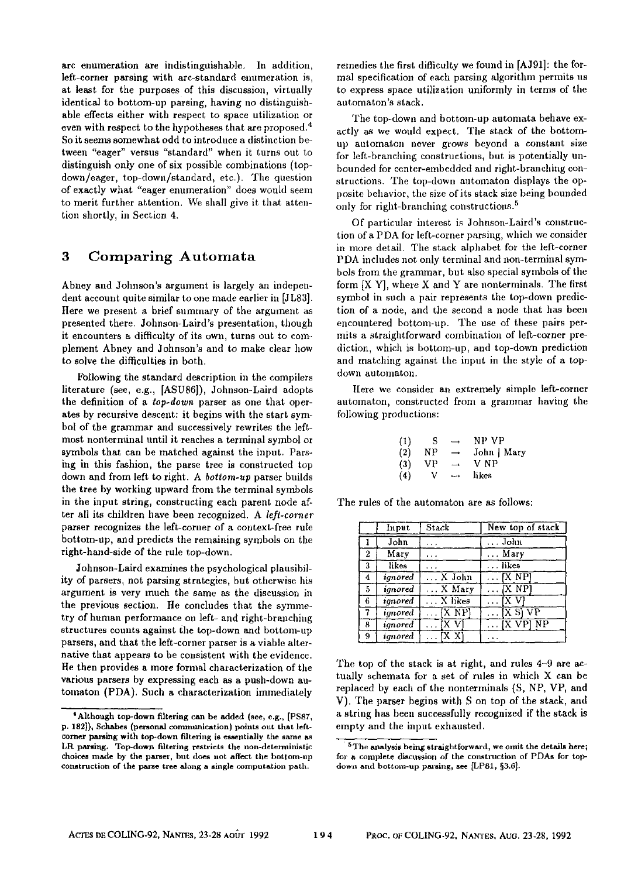arc enumeration are indistinguishable. In addition, left-corner parsing with arc-standard enumeration is, at least for the purposes of this discussion, virtually identical to bottom-up parsing, having no distinguishable effects either with respect to space utilization or even with respect to the hypotheses that are proposed.4 So it seems somewhat odd to introduce a distinction between "eager" versus "standard" when it turns out to distinguish only one of six possible combinations (topdown/eager, top-down/standard, etc.). The question of exactly what "eager enumeration" does would seem to merit further attention. We shall give it that attention shortly, in Section 4.

### **3 Comparing Automata**

Abney and Johnson's argument is largely an independent account quite similar to one made earlier in [JL83]. Here we present a brief summary of the argument as presented there. Johnson-Laird's presentation, though it encounters a difficulty of its own, turns out to complement Abney and Johnson's and to make clear how to solve the difficulties in both.

Following the standard description in the compilers literature (see, e.g., [ASU86]), Johnson-Laird adopts the definition of a *top-down* parser as one that operates by recursive descent: it begins with the start symbol of the grammar and successively rewrites the leftmost nonterminal until it reaches a terminal symbol or symbols that can be matched against the input. Parsing in this fashion, the parse tree is constructed top down and from left to right. A *bottom-up* parser builds the tree by working upward from the terminal symbols in the input string, constructing each parent node after all its children have been recognized. A *left.corner*  parser recognizes the left-corner of a context-free rule bottom-up, and predicts the remaining symbols on the right-hand-side of the rule top-down.

Johnson-Laird examines the psychological plausibility of parsers, not parsing strategies, but otherwise his argument is very much the same as the discussion in the previous section. He concludes that the symmetry of human performance on left- and right-branching structures counts against the top-down and bottom-up parsers, and that the left-corner parser is a viable alternative that appears to be consistent with the evidence. He then provides a more formal characterization of the various parsers by expressing each as a push-down automaton (PDA). Such a characterization immediately

remedies the first difficulty we found in [AJ91]: the formal specification of each parsing algorithm permits us to express space utilization uniformly in terms of the automaton's stack.

The top-down and bottom-up automata behave exactly as we would expect. The stack of the bottomup automaton never grows beyond a constant size for left-branching constructions, but is potentially unbounded for center-embedded and right-branching constructions. The top-down automaton displays the opposite behavior, the size of its stack size being bounded only for right-branching constructions.<sup>5</sup>

Of particular interest is Johnson-Laird's construetion of a PDA for left-corner parsiug, which we consider in more detail. The stack alphabet for the left-corner PDA includes not only terminal and non-terminal symbols from the grammar, but also special symbols of the form  $[X Y]$ , where X and Y are nonterminals. The first symbol in such a pair represents the top-down prediction of a node, and the second a node that has been encountered bottom-up. The use of these pairs permits a straightforward combination of left-corner prediction, which is bottom-up, and top-down prediction and matching against the input in the style of a topdown automaton.

Here we consider an extremely simple left-corner automaton, constructed from a grammar having the following productions:

| (1) | S   | $\rightarrow$ | NP VP       |
|-----|-----|---------------|-------------|
| (2) | ΝP  | $\rightarrow$ | John   Mary |
| (3) | VP. | وسد           | V NP        |
| (4) | v   | ---           | likes       |

The rules of the automaton are as follows:

|                | Input   | Stack     | New top of stack                |
|----------------|---------|-----------|---------------------------------|
|                | John    |           | John                            |
| 2              | Mary    | .         | Mary                            |
| 3              | likes   |           | . likes                         |
| $\overline{4}$ | ignored | . X John  | $\ldots$ [X $NPI$               |
| 5              | ignored | X Mary    | IX NP                           |
| 6              | ignored | . X likes |                                 |
| 7              | ignored | IX NPI    | $[X \overline{S}]\overline{VP}$ |
| 8              | ignored | IX V      | $\ldots$ [X VP] NP              |
| 9              | ianored | xх        |                                 |

The top of the stack is at right, and rules 4-9 are actually schemata for a set of rules in which X can be replaced by each of the nonterminals (S, NP, VP, and V). The parser begins with S on top of the stack, and a string has been successfully recognized if the stack is empty and the input exhausted.

<sup>\*</sup>Although top-down filtering can be added (see, e.g., [PS87, p. 182]), Schabes (personal communication) points out that leftcorner parsing with top-down filtering is essentially the same as LR parsing. Top-down filtering **restricts the** non-determinlstic choices made by the parser, bat does not affect the bottom-up construction **of the parse tree along a single** computation path.

 $5$ The analysis being straightforward, we omit the details here; **for** n complete discussion of the construction of PDAs for topdown and bottom-up parsing, see [LP81, §3.6].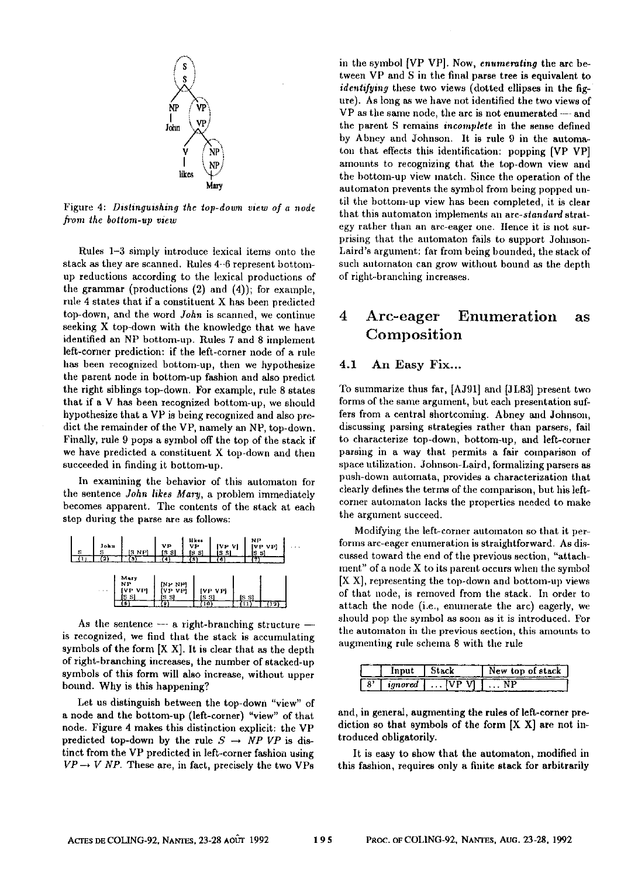

Figure 4: *Distinguishing the top-down view of a node b'om the bottom-up view* 

Rules 1-3 simply introduce texical items onto the stack as they are scanned. Rules 4-6 represent bottomup reductions according to the lexical productions of the grammar (productions (2) and (4)); for example, rule 4 states that if a constituent X has been predicted top-down, and the word *John* is scanned, we continue seeking X top-down with the knowledge that we have identified an NP bottom-up. Rules 7 and 8 implement left-corner prediction: if the left-corner node of a rule has been recognized bottom-up, then we hypothesize the parent node in bottom-up fashion and also predict the right siblings top-down. For example, rule 8 states that if a V has been recognized bottom-up, we should hypothesize that a VP is being recognized and also predict the remainder of the VP, namely an NP, top-down. Finally, rule 9 pops a symbol off the top of the stack if we have predicted a constituent X top-down and then succeeded in finding it bottom-up.

In examining the behavior of this automaton for the sentence *John likes Mary,* a problem immediately becomes apparent. The contents of the stack at each step during the parse are as follows:



As the sentence  $-$ - a right-branching structure  $$ is recognized, we find that the stack is accumulating symbols of the form [X X]. It is clear that as the depth of right-branching increases, the number of stacked-up symbols of this form will also increase, without upper bound. Why is this happening?

Let us distinguish between the top-down "view" of a node and the bottom-up (left-corner) "view" of that node. Figure 4 makes this distinction explicit: the VP predicted top-down by the rule  $S \rightarrow NP VP$  is distinct from the VP predicted in left-corner fashion using  $VP \rightarrow V \ NP$ . These are, in fact, precisely the two VPs

in the symbol [VP VP]. Now, *enumerating* the arc between VP and S in the final parse tree is equivalent to *identifying* these two views (dotted ellipses in the figure). As long as we have not identified the two views of VP as the same node, the arc is not enumerated --- and the parent S remains *incomplete* in the sense defined by Abney and Johnson, It is rule 9 in the automaton that effects this identification: popping [VP VP] amounts to recognizing that the top-down view and the bottom-up view match. Since the operation of the automaton prevents the symbol from being popped until the bottom-up view has been completed, it is clear that this automaton implements an *arc-standard* strategy rather than an arc-eager one. Hence it is not surprisiug that the antomaton fails to support Johuson-Laird's argument: far from being bounded, the stack of such automaton can grow without bound as the depth of right-branching increases.

# **4 Arc-eager Enumeration as**  Composition

### 4.1 An Easy Fix...

To summarize thus far, [AJ91] and [JL83] present two forms of the same argument, but each presentation suffers from a central shortcoming. Abney and Johnson, discussing parsing strategies rather than parsers, fail to characterize top-down, bottom-up, and left-corner parsing in a way that permits a fair comparison of space utilization. Johnson-Laird, formalizing parsers as push-down automata, provides a characterization that clearly defines the terms of the comparison, but his leftcorner automaton lacks the properties needed to make the argument succeed.

Modifying the left-corner automaton so that it performs arc-eager enumeration is straightforward. As discussed toward the end of the previous section, "attachment" of a node X to its pareut occurs when the symbol IX X], representing the top-down and bottom-up views of that node, is removed from the stack. In order to attach the node (i.e., enumerate the arc) eagerly, we should pop the symbol as soon as it is introduced. For the automaton in the previous section, this amounts to augmenting rule schema 8 with the rule

| Innut   | Stack |  | New top of stack |
|---------|-------|--|------------------|
| ionored |       |  |                  |

and, in general, augmenting the rules of left-corner prediction so that symbols of the form [X X] are not introduced obligatorily.

It is easy to show that the automaton, modified in this fashion, requires only a finite stack for arbitrarily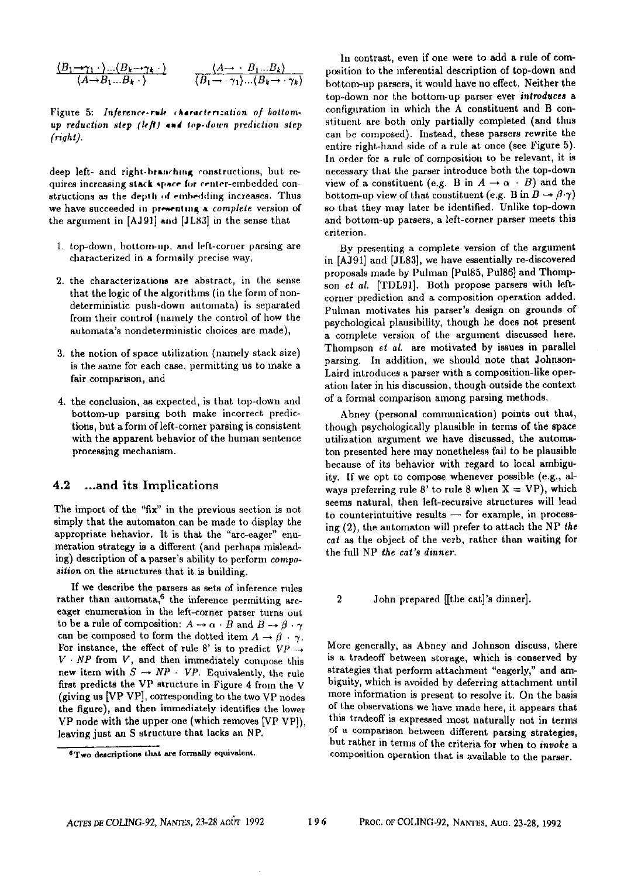$$
\frac{\langle B_1 \longrightarrow \gamma_1 \cdot \rangle \dots \langle B_k \longrightarrow \gamma_k \cdot \rangle}{\langle A \rightarrow B_1 \dots B_k \cdot \rangle} \qquad \frac{\langle A \rightarrow B_1 \dots B_k \rangle}{\langle B_1 \rightarrow \gamma_1 \rangle \dots \langle B_k \rightarrow \gamma_k \rangle}
$$

Figure 5: *Inference-rule* characterization of bottom*up reduction step (left)* and top-down prediction step *(,~ght).* 

deep left- and right-branching constructions, but requires increasing stack space for center-embedded constructions as the depth of embedding increases. Thus we have succeeded in presenting a *complete* version of the argument in [AJ91] and [JL83] in the sense that

- 1. top-down, bottom-up, and left-corner parsing are characterized in a formally precise way,
- 2. the chaxacterizations are abstract, in the sense that the logic of the algorithms (in the form of nondeterministic push-down automata) is separated from their control (namely the control of how the automata's nondeterministic choices are made),
- 3. the notion of space utilization (namely stack size) is the same for each case, permitting us to make a fair comparison, and
- 4. the conclusion, as expected, is that top-down and bottom-up parsing both make incorrect predictions, but a form of left-corner parsing is consistent with the apparent behavior of the human sentence processing mechanism.

### 4.2 ...and its Implications

The import of the "fix" in the previous section is not simply that the automaton can be made to display the appropriate behavior. It is that the "arc-eager" enumeration strategy is a different (and perhaps misleading) description of a purser's ability to perform *composition* on the structures that it is building.

If we describe the parsers as sets of inference rules rather than automata,<sup>6</sup> the inference permitting arceager enumeration in the left-corner parser turns out to be a rule of composition:  $A \rightarrow \alpha \cdot B$  and  $B \rightarrow \beta \cdot \gamma$ can be composed to form the dotted item  $A \rightarrow \beta \cdot \gamma$ . For instance, the effect of rule 8' is to predict  $VP \rightarrow$  $V \cdot NP$  from  $V$ , and then immediately compose this new item with  $S \rightarrow NP \cdot VP$ . Equivalently, the rule first predicts the VP structure in Figure 4 from the V (giving us [VP VP], corresponding to the two VP nodes the figure), and then immediately identifies the lower VP node with the upper one (which removes [VP VP]), leaving just an S structure that lacks an NP.

In contrast, even if one were to add a rule of composition to the inferential description of top-down and bottom-up parsers, it would have no effect. Neither the top-down nor the bottom-up parser ever *introduces a*  configuration in which the A constituent and B constituent are both only partially completed (and thus can be composed). Instead, these parsers rewrite the entire right-hand side of a rule at once (see Figure 5). In order for a rule of composition to be relevant, it is necessary that the parser introduce both the top-down view of a constituent (e.g. B in  $A \rightarrow \alpha + B$ ) and the bottom-up view of that constituent (e.g. B in  $B \to \beta \cdot \gamma$ ) so that they may later be identified. Unlike top-down and bottom-up parsers, a left-corner parser meets this criterion.

By presenting a complete version of the argument in [AJ91] and [JL83], we have essentially re-discovered proposals made by Puhnan [Pu185, Pul86] and Thompson *et al.* [TDL91]. Both propose parsers with leftcorner prediction and a composition operation added. Pulman motivates his parser's design on grounds of psychological plausibility, though he does not present a complete version of the argument discussed here. Thompson et *al.* are motivated by issues in parallel parsing. In addition, we should note that Johnson-Laird introduces a parser with a composition-like operation later in his discussion, though outside the context of a formal comparison among parsing methods.

Abney (personal communication) points out that, though psychologically plausible in terms of the space utilization argument we have discussed, the automaton presented here may nonetheless fail to be plausible because of its behavior with regard to local ambiguity. If we opt to compose whenever possible (e.g., always preferring rule 8' to rule 8 when  $X = VP$ ), which seems natural, then left-recursive structures will lead  $to$  counterintuitive results  $-$  for example, in processing (2), the automaton will prefer to attach the NP *the cat as* the object of the verb, rather than waiting for the full NP *the cat's dinner.* 

2 John prepared [[the cat]'s dinner].

More generally, as Abney and Johnson discuss, there is a tradeoff between storage, which is conserved by strategies that perform attachment "eagerly," and ambiguity, which is avoided by deferring attachment until more information is present to resolve it. On the basis of the observations we have made here, it appears that this tradeoff is expressed most naturally not in terms of a comparison between different parsing strategies, but rather in terms of the criteria for when to *invoke a*  composition operation that is available to the parser.

 $<sup>6</sup>$  Two descriptions that are formally equivalent.</sup>